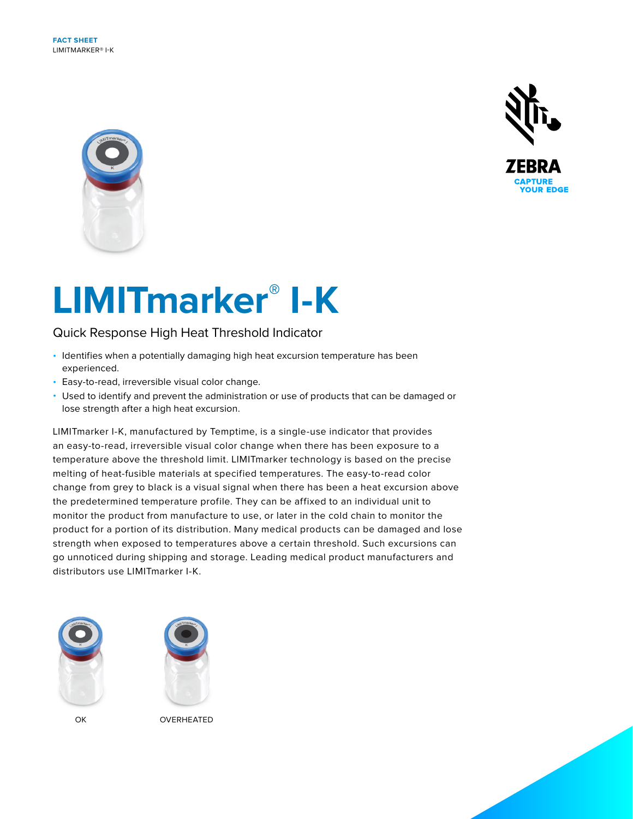**FACT SHEET** LIMITMARKER® I-K





# **LIMITmarker® I-K**

## Quick Response High Heat Threshold Indicator

- Identifies when a potentially damaging high heat excursion temperature has been experienced.
- Easy-to-read, irreversible visual color change.
- Used to identify and prevent the administration or use of products that can be damaged or lose strength after a high heat excursion.

LIMITmarker I-K, manufactured by Temptime, is a single-use indicator that provides an easy-to-read, irreversible visual color change when there has been exposure to a temperature above the threshold limit. LIMITmarker technology is based on the precise melting of heat-fusible materials at specified temperatures. The easy-to-read color change from grey to black is a visual signal when there has been a heat excursion above the predetermined temperature profile. They can be affixed to an individual unit to monitor the product from manufacture to use, or later in the cold chain to monitor the product for a portion of its distribution. Many medical products can be damaged and lose strength when exposed to temperatures above a certain threshold. Such excursions can go unnoticed during shipping and storage. Leading medical product manufacturers and distributors use LIMITmarker I-K.





OK OVERHEATED